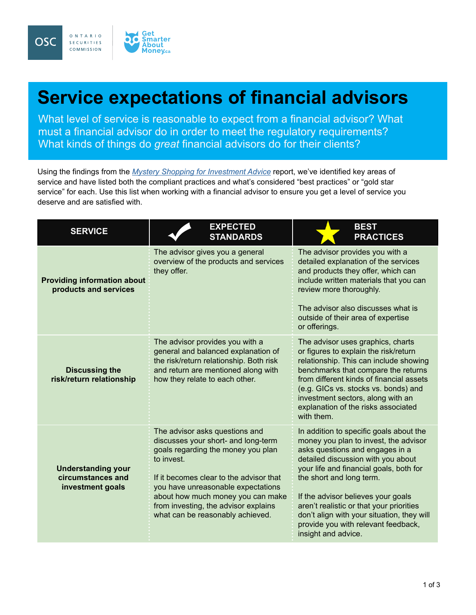

## **Service expectations of financial advisors**

What level of service is reasonable to expect from a financial advisor? What must a financial advisor do in order to meet the regulatory requirements? What kinds of things do *great* financial advisors do for their clients?

Using the findings from the *[Mystery Shopping for Investment Advice](http://www.osc.gov.on.ca/en/SecuritiesLaw_20150917-mystery-shopping-for-investment-advice.htm)* report, we've identified key areas of service and have listed both the compliant practices and what's considered "best practices" or "gold star service" for each. Use this list when working with a financial advisor to ensure you get a level of service you deserve and are satisfied with.

| <b>SERVICE</b>                                                     | <b>EXPECTED</b><br><b>STANDARDS</b>                                                                                                                                                                                                                                                                                         | <b>BEST</b><br><b>PRACTICES</b>                                                                                                                                                                                                                                                                                                                                                                                                |
|--------------------------------------------------------------------|-----------------------------------------------------------------------------------------------------------------------------------------------------------------------------------------------------------------------------------------------------------------------------------------------------------------------------|--------------------------------------------------------------------------------------------------------------------------------------------------------------------------------------------------------------------------------------------------------------------------------------------------------------------------------------------------------------------------------------------------------------------------------|
| <b>Providing information about</b><br>products and services        | The advisor gives you a general<br>overview of the products and services<br>they offer.                                                                                                                                                                                                                                     | The advisor provides you with a<br>detailed explanation of the services<br>and products they offer, which can<br>include written materials that you can<br>review more thoroughly.<br>The advisor also discusses what is<br>outside of their area of expertise<br>or offerings.                                                                                                                                                |
| <b>Discussing the</b><br>risk/return relationship                  | The advisor provides you with a<br>general and balanced explanation of<br>the risk/return relationship. Both risk<br>and return are mentioned along with<br>how they relate to each other.                                                                                                                                  | The advisor uses graphics, charts<br>or figures to explain the risk/return<br>relationship. This can include showing<br>benchmarks that compare the returns<br>from different kinds of financial assets<br>(e.g. GICs vs. stocks vs. bonds) and<br>investment sectors, along with an<br>explanation of the risks associated<br>with them.                                                                                      |
| <b>Understanding your</b><br>circumstances and<br>investment goals | The advisor asks questions and<br>discusses your short- and long-term<br>goals regarding the money you plan<br>to invest.<br>If it becomes clear to the advisor that<br>you have unreasonable expectations<br>about how much money you can make<br>from investing, the advisor explains<br>what can be reasonably achieved. | In addition to specific goals about the<br>money you plan to invest, the advisor<br>asks questions and engages in a<br>detailed discussion with you about<br>your life and financial goals, both for<br>the short and long term.<br>If the advisor believes your goals<br>aren't realistic or that your priorities<br>don't align with your situation, they will<br>provide you with relevant feedback,<br>insight and advice. |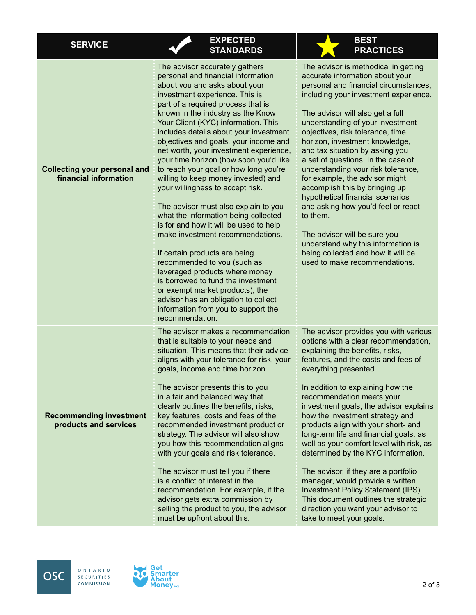| <b>SERVICE</b>                                               | <b>EXPECTED</b><br><b>STANDARDS</b>                                                                                                                                                                                                                                                                                                                                                                                                                                                                                                                                                                                                                                                                                                                                                                                                                                                                                                                                                             | <b>BEST</b><br><b>PRACTICES</b>                                                                                                                                                                                                                                                                                                                                                                                                                                                                                                                                                                                                                                                                                                       |
|--------------------------------------------------------------|-------------------------------------------------------------------------------------------------------------------------------------------------------------------------------------------------------------------------------------------------------------------------------------------------------------------------------------------------------------------------------------------------------------------------------------------------------------------------------------------------------------------------------------------------------------------------------------------------------------------------------------------------------------------------------------------------------------------------------------------------------------------------------------------------------------------------------------------------------------------------------------------------------------------------------------------------------------------------------------------------|---------------------------------------------------------------------------------------------------------------------------------------------------------------------------------------------------------------------------------------------------------------------------------------------------------------------------------------------------------------------------------------------------------------------------------------------------------------------------------------------------------------------------------------------------------------------------------------------------------------------------------------------------------------------------------------------------------------------------------------|
| <b>Collecting your personal and</b><br>financial information | The advisor accurately gathers<br>personal and financial information<br>about you and asks about your<br>investment experience. This is<br>part of a required process that is<br>known in the industry as the Know<br>Your Client (KYC) information. This<br>includes details about your investment<br>objectives and goals, your income and<br>net worth, your investment experience,<br>your time horizon (how soon you'd like<br>to reach your goal or how long you're<br>willing to keep money invested) and<br>your willingness to accept risk.<br>The advisor must also explain to you<br>what the information being collected<br>is for and how it will be used to help<br>make investment recommendations.<br>If certain products are being<br>recommended to you (such as<br>leveraged products where money<br>is borrowed to fund the investment<br>or exempt market products), the<br>advisor has an obligation to collect<br>information from you to support the<br>recommendation. | The advisor is methodical in getting<br>accurate information about your<br>personal and financial circumstances,<br>including your investment experience.<br>The advisor will also get a full<br>understanding of your investment<br>objectives, risk tolerance, time<br>horizon, investment knowledge,<br>and tax situation by asking you<br>a set of questions. In the case of<br>understanding your risk tolerance,<br>for example, the advisor might<br>accomplish this by bringing up<br>hypothetical financial scenarios<br>and asking how you'd feel or react<br>to them.<br>The advisor will be sure you<br>understand why this information is<br>being collected and how it will be<br>used to make recommendations.         |
| <b>Recommending investment</b><br>products and services      | The advisor makes a recommendation<br>that is suitable to your needs and<br>situation. This means that their advice<br>aligns with your tolerance for risk, your<br>goals, income and time horizon.<br>The advisor presents this to you<br>in a fair and balanced way that<br>clearly outlines the benefits, risks,<br>key features, costs and fees of the<br>recommended investment product or<br>strategy. The advisor will also show<br>you how this recommendation aligns<br>with your goals and risk tolerance.<br>The advisor must tell you if there<br>is a conflict of interest in the<br>recommendation. For example, if the<br>advisor gets extra commission by<br>selling the product to you, the advisor<br>must be upfront about this.                                                                                                                                                                                                                                             | The advisor provides you with various<br>options with a clear recommendation,<br>explaining the benefits, risks,<br>features, and the costs and fees of<br>everything presented.<br>In addition to explaining how the<br>recommendation meets your<br>investment goals, the advisor explains<br>how the investment strategy and<br>products align with your short- and<br>long-term life and financial goals, as<br>well as your comfort level with risk, as<br>determined by the KYC information.<br>The advisor, if they are a portfolio<br>manager, would provide a written<br><b>Investment Policy Statement (IPS).</b><br>This document outlines the strategic<br>direction you want your advisor to<br>take to meet your goals. |

ONTARIO

SECURITIES COMMISSION